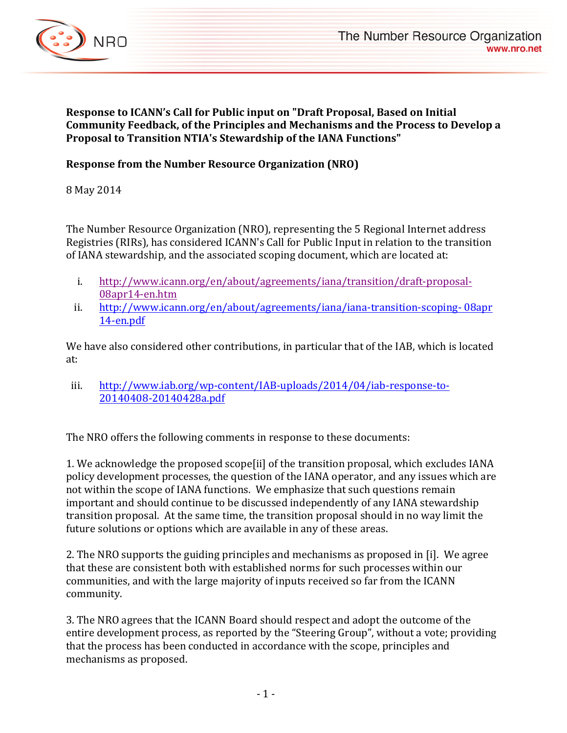

**Response to ICANN's Call for Public input on "Draft Proposal, Based on Initial** Community Feedback, of the Principles and Mechanisms and the Process to Develop a **Proposal to Transition NTIA's Stewardship of the IANA Functions"** 

## **Response from the Number Resource Organization (NRO)**

8 May 2014

The Number Resource Organization (NRO), representing the 5 Regional Internet address Registries (RIRs), has considered ICANN's Call for Public Input in relation to the transition of IANA stewardship, and the associated scoping document, which are located at:

- i. http://www.icann.org/en/about/agreements/iana/transition/draft-proposal-08apr14-en.htm
- ii. http://www.icann.org/en/about/agreements/iana/iana-transition-scoping-08apr 14-en.pdf

We have also considered other contributions, in particular that of the IAB, which is located at:

iii. http://www.iab.org/wp-content/IAB-uploads/2014/04/iab-response-to-20140408-20140428a.pdf

The NRO offers the following comments in response to these documents:

1. We acknowledge the proposed scope [ii] of the transition proposal, which excludes IANA policy development processes, the question of the IANA operator, and any issues which are not within the scope of IANA functions. We emphasize that such questions remain important and should continue to be discussed independently of any IANA stewardship transition proposal. At the same time, the transition proposal should in no way limit the future solutions or options which are available in any of these areas.

2. The NRO supports the guiding principles and mechanisms as proposed in [i]. We agree that these are consistent both with established norms for such processes within our communities, and with the large majority of inputs received so far from the ICANN community.

3. The NRO agrees that the ICANN Board should respect and adopt the outcome of the entire development process, as reported by the "Steering Group", without a vote; providing that the process has been conducted in accordance with the scope, principles and mechanisms as proposed.